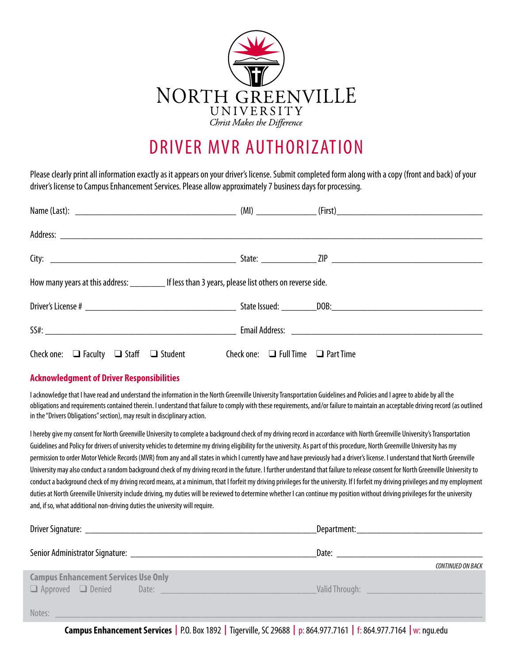

## DRIVER MVR AUTHORIZATION

Please clearly print all information exactly as it appears on your driver's license. Submit completed form along with a copy (front and back) of your driver's license to Campus Enhancement Services. Please allow approximately 7 business days for processing.

| How many years at this address: ___________ If less than 3 years, please list others on reverse side. |  |  |  |  |
|-------------------------------------------------------------------------------------------------------|--|--|--|--|
|                                                                                                       |  |  |  |  |
|                                                                                                       |  |  |  |  |
| Check one: $\Box$ Faculty $\Box$ Staff $\Box$ Student Check one: $\Box$ Full Time $\Box$ Part Time    |  |  |  |  |

## **Acknowledgment of Driver Responsibilities**

I acknowledge that I have read and understand the information in the North Greenville University Transportation Guidelines and Policies and I agree to abide by all the obligations and requirements contained therein. I understand that failure to comply with these requirements, and/or failure to maintain an acceptable driving record (as outlined in the "Drivers Obligations" section), may result in disciplinary action.

I hereby give my consent for North Greenville University to complete a background check of my driving record in accordance with North Greenville University's Transportation Guidelines and Policy for drivers of university vehicles to determine my driving eligibility for the university. As part of this procedure, North Greenville University has my permission to order Motor Vehicle Records (MVR) from any and all states in which I currently have and have previously had a driver's license. I understand that North Greenville University may also conduct a random background check of my driving record in the future. I further understand that failure to release consent for North Greenville University to conduct a background check of my driving record means, at a minimum, that I forfeit my driving privileges for the university. If I forfeit my driving privileges and my employment duties at North Greenville University include driving, my duties will be reviewed to determine whether I can continue my position without driving privileges for the university and, if so, what additional non-driving duties the university will require.

|                                                                                                                                                                                                                                | <b>CONTINUED ON BACK</b>                                                                                                                                                                                                             |
|--------------------------------------------------------------------------------------------------------------------------------------------------------------------------------------------------------------------------------|--------------------------------------------------------------------------------------------------------------------------------------------------------------------------------------------------------------------------------------|
| <b>Campus Enhancement Services Use Only</b><br>a Approved a Denied Date: a contract of the Approved C Denied Date:                                                                                                             | <u>Valid Through: William School Charles Charles Charles Charles Charles Charles Charles Charles Charles Charles Charles Charles Charles Charles Charles Charles Charles Charles Charles Charles Charles Charles Charles Charles</u> |
| Notes: Notes: 2006. The contract of the contract of the contract of the contract of the contract of the contract of the contract of the contract of the contract of the contract of the contract of the contract of the contra |                                                                                                                                                                                                                                      |